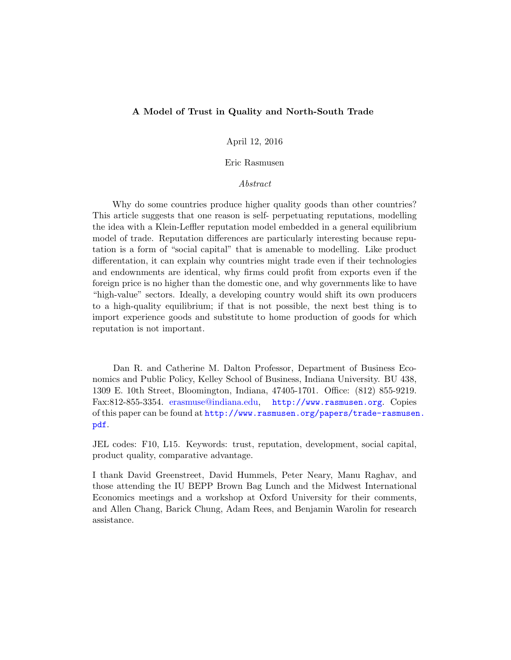#### A Model of Trust in Quality and North-South Trade

April 12, 2016

Eric Rasmusen

#### Abstract

Why do some countries produce higher quality goods than other countries? This article suggests that one reason is self- perpetuating reputations, modelling the idea with a Klein-Leffler reputation model embedded in a general equilibrium model of trade. Reputation differences are particularly interesting because reputation is a form of "social capital" that is amenable to modelling. Like product differentation, it can explain why countries might trade even if their technologies and endownments are identical, why firms could profit from exports even if the foreign price is no higher than the domestic one, and why governments like to have "high-value" sectors. Ideally, a developing country would shift its own producers to a high-quality equilibrium; if that is not possible, the next best thing is to import experience goods and substitute to home production of goods for which reputation is not important.

Dan R. and Catherine M. Dalton Professor, Department of Business Economics and Public Policy, Kelley School of Business, Indiana University. BU 438, 1309 E. 10th Street, Bloomington, Indiana, 47405-1701. Office: (812) 855-9219. Fax:812-855-3354. [erasmuse@indiana.edu,](mailto:erasmuse@indiana.edu) <http://www.rasmusen.org>. Copies of this paper can be found at [http://www.rasmusen.org/papers/trade-rasmusen](http://www.rasmusen.org/papers/trade-rasmusen.pdf). [pdf](http://www.rasmusen.org/papers/trade-rasmusen.pdf).

JEL codes: F10, L15. Keywords: trust, reputation, development, social capital, product quality, comparative advantage.

I thank David Greenstreet, David Hummels, Peter Neary, Manu Raghav, and those attending the IU BEPP Brown Bag Lunch and the Midwest International Economics meetings and a workshop at Oxford University for their comments, and Allen Chang, Barick Chung, Adam Rees, and Benjamin Warolin for research assistance.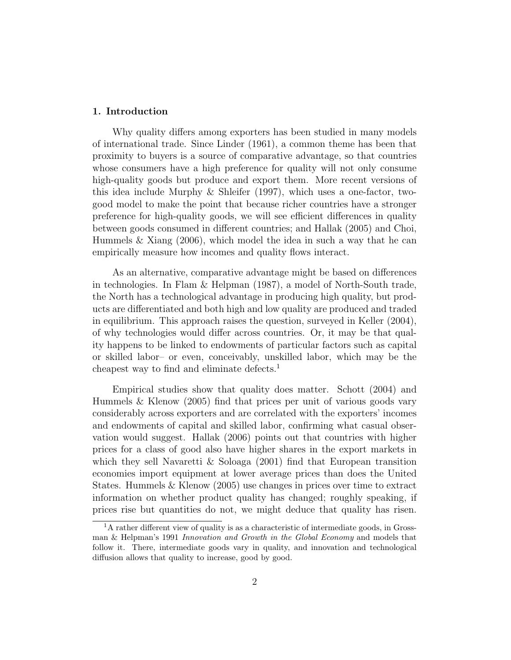## 1. Introduction

Why quality differs among exporters has been studied in many models of international trade. Since Linder (1961), a common theme has been that proximity to buyers is a source of comparative advantage, so that countries whose consumers have a high preference for quality will not only consume high-quality goods but produce and export them. More recent versions of this idea include Murphy & Shleifer (1997), which uses a one-factor, twogood model to make the point that because richer countries have a stronger preference for high-quality goods, we will see efficient differences in quality between goods consumed in different countries; and Hallak (2005) and Choi, Hummels & Xiang (2006), which model the idea in such a way that he can empirically measure how incomes and quality flows interact.

As an alternative, comparative advantage might be based on differences in technologies. In Flam & Helpman (1987), a model of North-South trade, the North has a technological advantage in producing high quality, but products are differentiated and both high and low quality are produced and traded in equilibrium. This approach raises the question, surveyed in Keller (2004), of why technologies would differ across countries. Or, it may be that quality happens to be linked to endowments of particular factors such as capital or skilled labor– or even, conceivably, unskilled labor, which may be the cheapest way to find and eliminate defects.<sup>[1](#page-1-0)</sup>

Empirical studies show that quality does matter. Schott (2004) and Hummels & Klenow (2005) find that prices per unit of various goods vary considerably across exporters and are correlated with the exporters' incomes and endowments of capital and skilled labor, confirming what casual observation would suggest. Hallak (2006) points out that countries with higher prices for a class of good also have higher shares in the export markets in which they sell Navaretti & Soloaga  $(2001)$  find that European transition economies import equipment at lower average prices than does the United States. Hummels & Klenow (2005) use changes in prices over time to extract information on whether product quality has changed; roughly speaking, if prices rise but quantities do not, we might deduce that quality has risen.

<span id="page-1-0"></span><sup>&</sup>lt;sup>1</sup>A rather different view of quality is as a characteristic of intermediate goods, in Grossman & Helpman's 1991 Innovation and Growth in the Global Economy and models that follow it. There, intermediate goods vary in quality, and innovation and technological diffusion allows that quality to increase, good by good.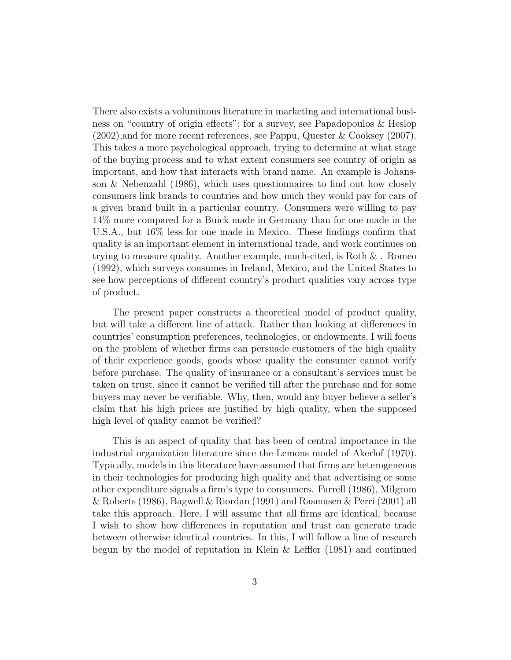There also exists a voluminous literature in marketing and international business on "country of origin effects"; for a survey, see Papadopoulos & Heslop (2002),and for more recent references, see Pappu, Quester & Cooksey (2007). This takes a more psychological approach, trying to determine at what stage of the buying process and to what extent consumers see country of origin as important, and how that interacts with brand name. An example is Johansson & Nebenzahl (1986), which uses questionnaires to find out how closely consumers link brands to countries and how much they would pay for cars of a given brand built in a particular country. Consumers were willing to pay 14% more compared for a Buick made in Germany than for one made in the U.S.A., but 16% less for one made in Mexico. These findings confirm that quality is an important element in international trade, and work continues on trying to measure quality. Another example, much-cited, is Roth & . Romeo (1992), which surveys consumes in Ireland, Mexico, and the United States to see how perceptions of different country's product qualities vary across type of product.

The present paper constructs a theoretical model of product quality, but will take a different line of attack. Rather than looking at differences in countries' consumption preferences, technologies, or endowments, I will focus on the problem of whether firms can persuade customers of the high quality of their experience goods, goods whose quality the consumer cannot verify before purchase. The quality of insurance or a consultant's services must be taken on trust, since it cannot be verified till after the purchase and for some buyers may never be verifiable. Why, then, would any buyer believe a seller's claim that his high prices are justified by high quality, when the supposed high level of quality cannot be verified?

This is an aspect of quality that has been of central importance in the industrial organization literature since the Lemons model of Akerlof (1970). Typically, models in this literature have assumed that firms are heterogeneous in their technologies for producing high quality and that advertising or some other expenditure signals a firm's type to consumers. Farrell (1986), Milgrom & Roberts (1986), Bagwell & Riordan (1991) and Rasmusen & Perri (2001) all take this approach. Here, I will assume that all firms are identical, because I wish to show how differences in reputation and trust can generate trade between otherwise identical countries. In this, I will follow a line of research begun by the model of reputation in Klein & Leffler (1981) and continued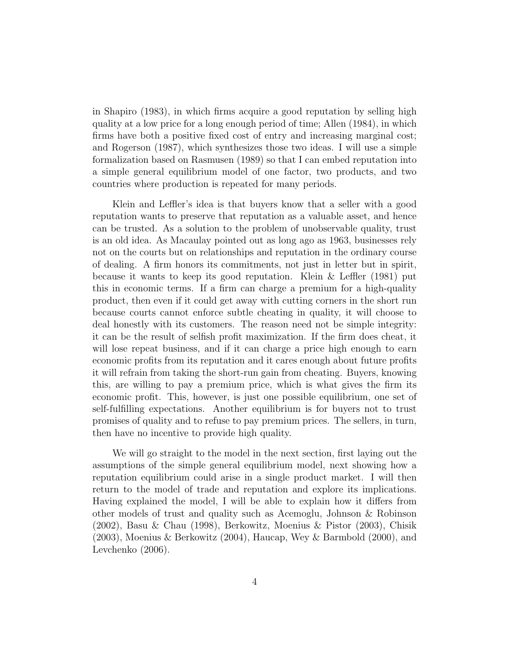in Shapiro (1983), in which firms acquire a good reputation by selling high quality at a low price for a long enough period of time; Allen (1984), in which firms have both a positive fixed cost of entry and increasing marginal cost; and Rogerson (1987), which synthesizes those two ideas. I will use a simple formalization based on Rasmusen (1989) so that I can embed reputation into a simple general equilibrium model of one factor, two products, and two countries where production is repeated for many periods.

Klein and Leffler's idea is that buyers know that a seller with a good reputation wants to preserve that reputation as a valuable asset, and hence can be trusted. As a solution to the problem of unobservable quality, trust is an old idea. As Macaulay pointed out as long ago as 1963, businesses rely not on the courts but on relationships and reputation in the ordinary course of dealing. A firm honors its commitments, not just in letter but in spirit, because it wants to keep its good reputation. Klein & Leffler (1981) put this in economic terms. If a firm can charge a premium for a high-quality product, then even if it could get away with cutting corners in the short run because courts cannot enforce subtle cheating in quality, it will choose to deal honestly with its customers. The reason need not be simple integrity: it can be the result of selfish profit maximization. If the firm does cheat, it will lose repeat business, and if it can charge a price high enough to earn economic profits from its reputation and it cares enough about future profits it will refrain from taking the short-run gain from cheating. Buyers, knowing this, are willing to pay a premium price, which is what gives the firm its economic profit. This, however, is just one possible equilibrium, one set of self-fulfilling expectations. Another equilibrium is for buyers not to trust promises of quality and to refuse to pay premium prices. The sellers, in turn, then have no incentive to provide high quality.

We will go straight to the model in the next section, first laying out the assumptions of the simple general equilibrium model, next showing how a reputation equilibrium could arise in a single product market. I will then return to the model of trade and reputation and explore its implications. Having explained the model, I will be able to explain how it differs from other models of trust and quality such as Acemoglu, Johnson & Robinson (2002), Basu & Chau (1998), Berkowitz, Moenius & Pistor (2003), Chisik (2003), Moenius & Berkowitz (2004), Haucap, Wey & Barmbold (2000), and Levchenko (2006).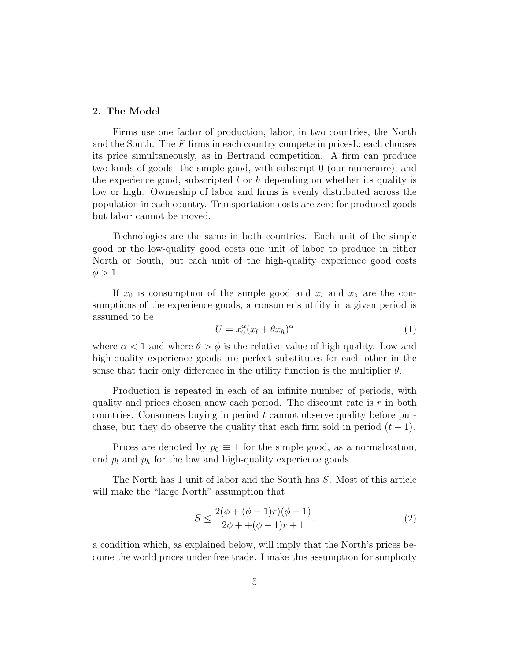### 2. The Model

Firms use one factor of production, labor, in two countries, the North and the South. The  $F$  firms in each country compete in prices L: each chooses its price simultaneously, as in Bertrand competition. A firm can produce two kinds of goods: the simple good, with subscript 0 (our numeraire); and the experience good, subscripted  $l$  or  $h$  depending on whether its quality is low or high. Ownership of labor and firms is evenly distributed across the population in each country. Transportation costs are zero for produced goods but labor cannot be moved.

Technologies are the same in both countries. Each unit of the simple good or the low-quality good costs one unit of labor to produce in either North or South, but each unit of the high-quality experience good costs  $\phi > 1$ .

If  $x_0$  is consumption of the simple good and  $x_l$  and  $x_h$  are the consumptions of the experience goods, a consumer's utility in a given period is assumed to be

<span id="page-4-0"></span>
$$
U = x_0^{\alpha} (x_l + \theta x_h)^{\alpha} \tag{1}
$$

where  $\alpha < 1$  and where  $\theta > \phi$  is the relative value of high quality. Low and high-quality experience goods are perfect substitutes for each other in the sense that their only difference in the utility function is the multiplier  $\theta$ .

Production is repeated in each of an infinite number of periods, with quality and prices chosen anew each period. The discount rate is  $r$  in both countries. Consumers buying in period  $t$  cannot observe quality before purchase, but they do observe the quality that each firm sold in period  $(t - 1)$ .

Prices are denoted by  $p_0 \equiv 1$  for the simple good, as a normalization, and  $p_l$  and  $p_h$  for the low and high-quality experience goods.

The North has 1 unit of labor and the South has S. Most of this article will make the "large North" assumption that

<span id="page-4-1"></span>
$$
S \le \frac{2(\phi + (\phi - 1)r)(\phi - 1)}{2\phi + (\phi - 1)r + 1}.
$$
 (2)

a condition which, as explained below, will imply that the North's prices become the world prices under free trade. I make this assumption for simplicity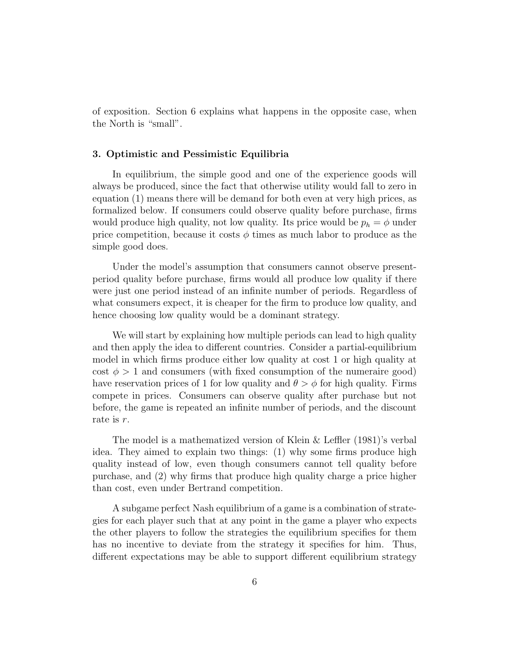of exposition. Section 6 explains what happens in the opposite case, when the North is "small".

# 3. Optimistic and Pessimistic Equilibria

In equilibrium, the simple good and one of the experience goods will always be produced, since the fact that otherwise utility would fall to zero in equation [\(1\)](#page-4-0) means there will be demand for both even at very high prices, as formalized below. If consumers could observe quality before purchase, firms would produce high quality, not low quality. Its price would be  $p_h = \phi$  under price competition, because it costs  $\phi$  times as much labor to produce as the simple good does.

Under the model's assumption that consumers cannot observe presentperiod quality before purchase, firms would all produce low quality if there were just one period instead of an infinite number of periods. Regardless of what consumers expect, it is cheaper for the firm to produce low quality, and hence choosing low quality would be a dominant strategy.

We will start by explaining how multiple periods can lead to high quality and then apply the idea to different countries. Consider a partial-equilibrium model in which firms produce either low quality at cost 1 or high quality at cost  $\phi > 1$  and consumers (with fixed consumption of the numeraire good) have reservation prices of 1 for low quality and  $\theta > \phi$  for high quality. Firms compete in prices. Consumers can observe quality after purchase but not before, the game is repeated an infinite number of periods, and the discount rate is r.

The model is a mathematized version of Klein & Leffler (1981)'s verbal idea. They aimed to explain two things: (1) why some firms produce high quality instead of low, even though consumers cannot tell quality before purchase, and (2) why firms that produce high quality charge a price higher than cost, even under Bertrand competition.

A subgame perfect Nash equilibrium of a game is a combination of strategies for each player such that at any point in the game a player who expects the other players to follow the strategies the equilibrium specifies for them has no incentive to deviate from the strategy it specifies for him. Thus, different expectations may be able to support different equilibrium strategy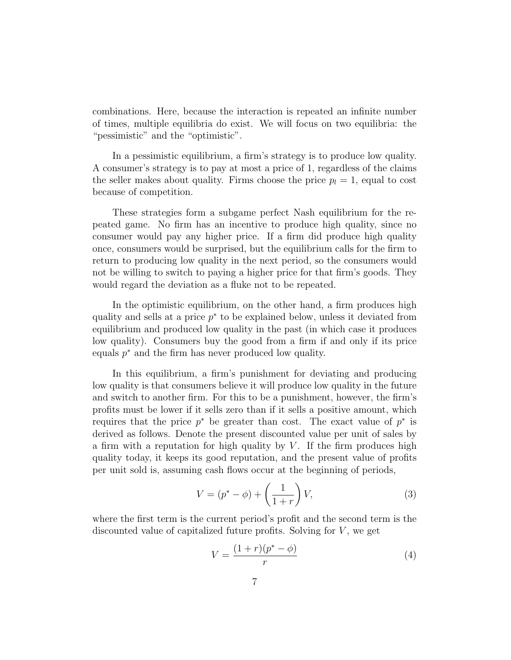combinations. Here, because the interaction is repeated an infinite number of times, multiple equilibria do exist. We will focus on two equilibria: the "pessimistic" and the "optimistic".

In a pessimistic equilibrium, a firm's strategy is to produce low quality. A consumer's strategy is to pay at most a price of 1, regardless of the claims the seller makes about quality. Firms choose the price  $p_l = 1$ , equal to cost because of competition.

These strategies form a subgame perfect Nash equilibrium for the repeated game. No firm has an incentive to produce high quality, since no consumer would pay any higher price. If a firm did produce high quality once, consumers would be surprised, but the equilibrium calls for the firm to return to producing low quality in the next period, so the consumers would not be willing to switch to paying a higher price for that firm's goods. They would regard the deviation as a fluke not to be repeated.

In the optimistic equilibrium, on the other hand, a firm produces high quality and sells at a price  $p^*$  to be explained below, unless it deviated from equilibrium and produced low quality in the past (in which case it produces low quality). Consumers buy the good from a firm if and only if its price equals  $p^*$  and the firm has never produced low quality.

In this equilibrium, a firm's punishment for deviating and producing low quality is that consumers believe it will produce low quality in the future and switch to another firm. For this to be a punishment, however, the firm's profits must be lower if it sells zero than if it sells a positive amount, which requires that the price  $p^*$  be greater than cost. The exact value of  $p^*$  is derived as follows. Denote the present discounted value per unit of sales by a firm with a reputation for high quality by  $V$ . If the firm produces high quality today, it keeps its good reputation, and the present value of profits per unit sold is, assuming cash flows occur at the beginning of periods,

<span id="page-6-0"></span>
$$
V = (p^* - \phi) + \left(\frac{1}{1+r}\right)V,\tag{3}
$$

where the first term is the current period's profit and the second term is the discounted value of capitalized future profits. Solving for  $V$ , we get

$$
V = \frac{(1+r)(p^* - \phi)}{r} \tag{4}
$$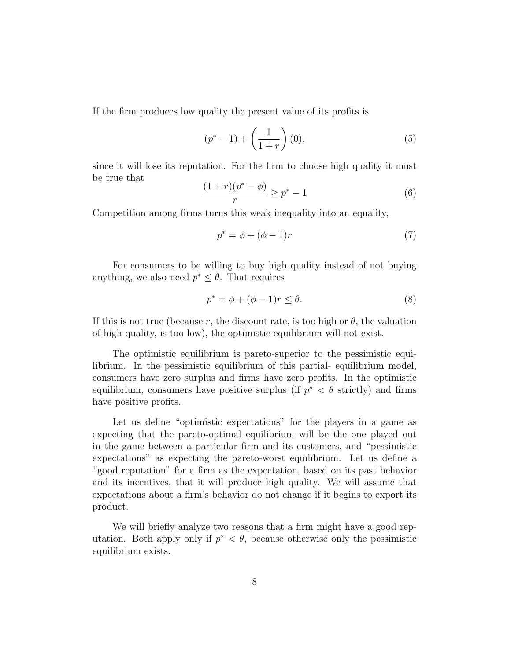If the firm produces low quality the present value of its profits is

$$
(p^* - 1) + \left(\frac{1}{1+r}\right)(0),\tag{5}
$$

since it will lose its reputation. For the firm to choose high quality it must be true that

$$
\frac{(1+r)(p^* - \phi)}{r} \ge p^* - 1\tag{6}
$$

Competition among firms turns this weak inequality into an equality,

<span id="page-7-0"></span>
$$
p^* = \phi + (\phi - 1)r \tag{7}
$$

For consumers to be willing to buy high quality instead of not buying anything, we also need  $p^* \leq \theta$ . That requires

$$
p^* = \phi + (\phi - 1)r \le \theta.
$$
\n(8)

If this is not true (because r, the discount rate, is too high or  $\theta$ , the valuation of high quality, is too low), the optimistic equilibrium will not exist.

The optimistic equilibrium is pareto-superior to the pessimistic equilibrium. In the pessimistic equilibrium of this partial- equilibrium model, consumers have zero surplus and firms have zero profits. In the optimistic equilibrium, consumers have positive surplus (if  $p^* < \theta$  strictly) and firms have positive profits.

Let us define "optimistic expectations" for the players in a game as expecting that the pareto-optimal equilibrium will be the one played out in the game between a particular firm and its customers, and "pessimistic expectations" as expecting the pareto-worst equilibrium. Let us define a "good reputation" for a firm as the expectation, based on its past behavior and its incentives, that it will produce high quality. We will assume that expectations about a firm's behavior do not change if it begins to export its product.

We will briefly analyze two reasons that a firm might have a good reputation. Both apply only if  $p^* < \theta$ , because otherwise only the pessimistic equilibrium exists.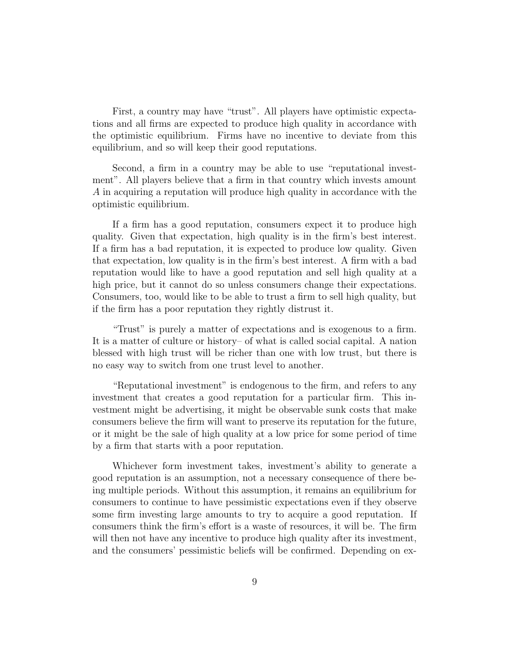First, a country may have "trust". All players have optimistic expectations and all firms are expected to produce high quality in accordance with the optimistic equilibrium. Firms have no incentive to deviate from this equilibrium, and so will keep their good reputations.

Second, a firm in a country may be able to use "reputational investment". All players believe that a firm in that country which invests amount A in acquiring a reputation will produce high quality in accordance with the optimistic equilibrium.

If a firm has a good reputation, consumers expect it to produce high quality. Given that expectation, high quality is in the firm's best interest. If a firm has a bad reputation, it is expected to produce low quality. Given that expectation, low quality is in the firm's best interest. A firm with a bad reputation would like to have a good reputation and sell high quality at a high price, but it cannot do so unless consumers change their expectations. Consumers, too, would like to be able to trust a firm to sell high quality, but if the firm has a poor reputation they rightly distrust it.

"Trust" is purely a matter of expectations and is exogenous to a firm. It is a matter of culture or history– of what is called social capital. A nation blessed with high trust will be richer than one with low trust, but there is no easy way to switch from one trust level to another.

"Reputational investment" is endogenous to the firm, and refers to any investment that creates a good reputation for a particular firm. This investment might be advertising, it might be observable sunk costs that make consumers believe the firm will want to preserve its reputation for the future, or it might be the sale of high quality at a low price for some period of time by a firm that starts with a poor reputation.

Whichever form investment takes, investment's ability to generate a good reputation is an assumption, not a necessary consequence of there being multiple periods. Without this assumption, it remains an equilibrium for consumers to continue to have pessimistic expectations even if they observe some firm investing large amounts to try to acquire a good reputation. If consumers think the firm's effort is a waste of resources, it will be. The firm will then not have any incentive to produce high quality after its investment, and the consumers' pessimistic beliefs will be confirmed. Depending on ex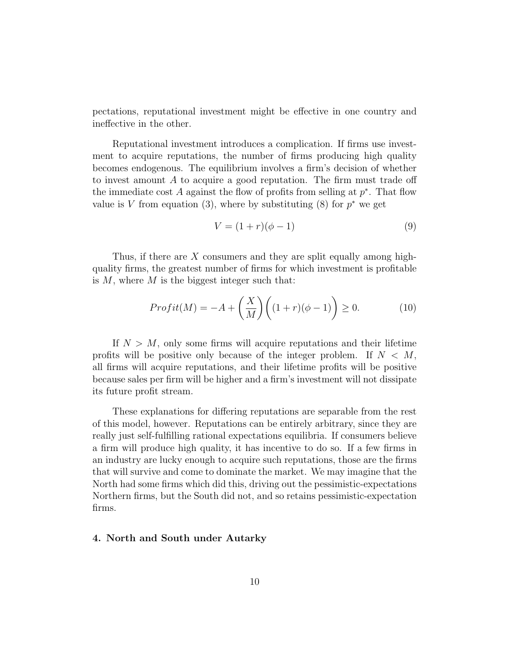pectations, reputational investment might be effective in one country and ineffective in the other.

Reputational investment introduces a complication. If firms use investment to acquire reputations, the number of firms producing high quality becomes endogenous. The equilibrium involves a firm's decision of whether to invest amount A to acquire a good reputation. The firm must trade off the immediate cost A against the flow of profits from selling at  $p^*$ . That flow value is V from equation [\(3\)](#page-6-0), where by substituting [\(8\)](#page-7-0) for  $p^*$  we get

$$
V = (1+r)(\phi - 1)
$$
 (9)

Thus, if there are X consumers and they are split equally among highquality firms, the greatest number of firms for which investment is profitable is  $M$ , where  $M$  is the biggest integer such that:

$$
Profit(M) = -A + \left(\frac{X}{M}\right) \left((1+r)(\phi - 1)\right) \ge 0.
$$
 (10)

If  $N > M$ , only some firms will acquire reputations and their lifetime profits will be positive only because of the integer problem. If  $N < M$ , all firms will acquire reputations, and their lifetime profits will be positive because sales per firm will be higher and a firm's investment will not dissipate its future profit stream.

These explanations for differing reputations are separable from the rest of this model, however. Reputations can be entirely arbitrary, since they are really just self-fulfilling rational expectations equilibria. If consumers believe a firm will produce high quality, it has incentive to do so. If a few firms in an industry are lucky enough to acquire such reputations, those are the firms that will survive and come to dominate the market. We may imagine that the North had some firms which did this, driving out the pessimistic-expectations Northern firms, but the South did not, and so retains pessimistic-expectation firms.

## 4. North and South under Autarky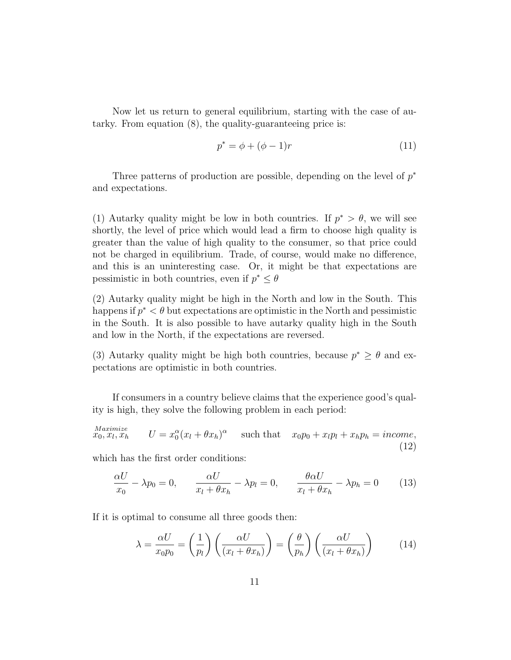Now let us return to general equilibrium, starting with the case of autarky. From equation [\(8\)](#page-7-0), the quality-guaranteeing price is:

$$
p^* = \phi + (\phi - 1)r \tag{11}
$$

Three patterns of production are possible, depending on the level of  $p^*$ and expectations.

(1) Autarky quality might be low in both countries. If  $p^* > \theta$ , we will see shortly, the level of price which would lead a firm to choose high quality is greater than the value of high quality to the consumer, so that price could not be charged in equilibrium. Trade, of course, would make no difference, and this is an uninteresting case. Or, it might be that expectations are pessimistic in both countries, even if  $p^* \leq \theta$ 

(2) Autarky quality might be high in the North and low in the South. This happens if  $p^* < \theta$  but expectations are optimistic in the North and pessimistic in the South. It is also possible to have autarky quality high in the South and low in the North, if the expectations are reversed.

(3) Autarky quality might be high both countries, because  $p^* \geq \theta$  and expectations are optimistic in both countries.

If consumers in a country believe claims that the experience good's quality is high, they solve the following problem in each period:

$$
Maximize\n x_0, x_l, x_h \qquad U = x_0^{\alpha} (x_l + \theta x_h)^{\alpha} \qquad such that \quad x_0 p_0 + x_l p_l + x_h p_h = income,
$$
\n(12)

which has the first order conditions:

$$
\frac{\alpha U}{x_0} - \lambda p_0 = 0, \qquad \frac{\alpha U}{x_l + \theta x_h} - \lambda p_l = 0, \qquad \frac{\theta \alpha U}{x_l + \theta x_h} - \lambda p_h = 0 \tag{13}
$$

If it is optimal to consume all three goods then:

<span id="page-10-0"></span>
$$
\lambda = \frac{\alpha U}{x_0 p_0} = \left(\frac{1}{p_l}\right) \left(\frac{\alpha U}{(x_l + \theta x_h)}\right) = \left(\frac{\theta}{p_h}\right) \left(\frac{\alpha U}{(x_l + \theta x_h)}\right) \tag{14}
$$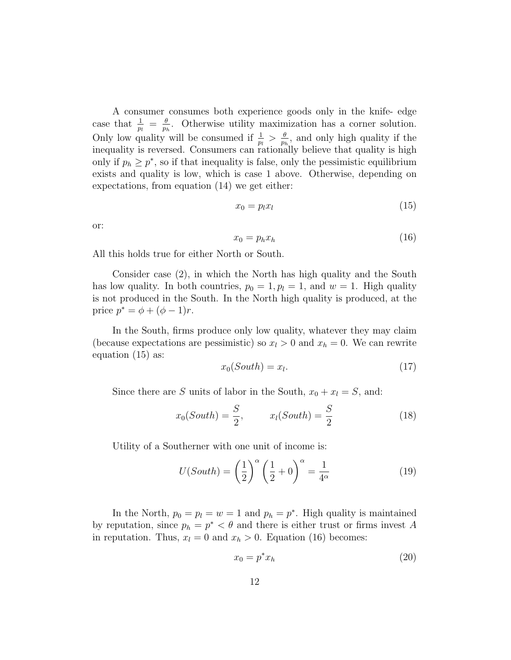A consumer consumes both experience goods only in the knife- edge case that  $\frac{1}{p_l} = \frac{\theta}{p_l}$  $\frac{\theta}{p_h}$ . Otherwise utility maximization has a corner solution. Only low quality will be consumed if  $\frac{1}{p_l} > \frac{\theta}{p_l}$  $\frac{\theta}{p_h}$ , and only high quality if the inequality is reversed. Consumers can rationally believe that quality is high only if  $p_h \geq p^*$ , so if that inequality is false, only the pessimistic equilibrium exists and quality is low, which is case 1 above. Otherwise, depending on expectations, from equation [\(14\)](#page-10-0) we get either:

<span id="page-11-0"></span>
$$
x_0 = p_l x_l \tag{15}
$$

<span id="page-11-1"></span>or:

$$
x_0 = p_h x_h \tag{16}
$$

All this holds true for either North or South.

Consider case (2), in which the North has high quality and the South has low quality. In both countries,  $p_0 = 1, p_l = 1$ , and  $w = 1$ . High quality is not produced in the South. In the North high quality is produced, at the price  $p^* = \phi + (\phi - 1)r$ .

In the South, firms produce only low quality, whatever they may claim (because expectations are pessimistic) so  $x_l > 0$  and  $x_h = 0$ . We can rewrite equation [\(15\)](#page-11-0) as:

$$
x_0(South) = x_l. \t\t(17)
$$

Since there are S units of labor in the South,  $x_0 + x_l = S$ , and:

$$
x_0(South) = \frac{S}{2}, \qquad x_l(South) = \frac{S}{2} \tag{18}
$$

Utility of a Southerner with one unit of income is:

$$
U(South) = \left(\frac{1}{2}\right)^{\alpha} \left(\frac{1}{2} + 0\right)^{\alpha} = \frac{1}{4^{\alpha}}\tag{19}
$$

In the North,  $p_0 = p_l = w = 1$  and  $p_h = p^*$ . High quality is maintained by reputation, since  $p_h = p^* < \theta$  and there is either trust or firms invest A in reputation. Thus,  $x_l = 0$  and  $x_h > 0$ . Equation [\(16\)](#page-11-1) becomes:

<span id="page-11-2"></span>
$$
x_0 = p^* x_h \tag{20}
$$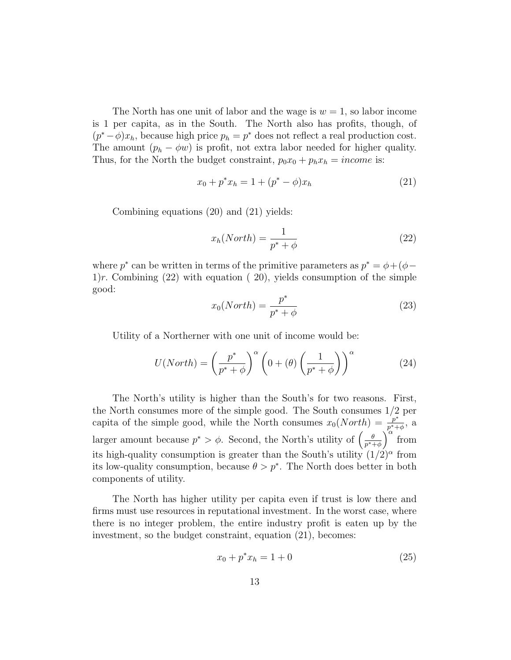The North has one unit of labor and the wage is  $w = 1$ , so labor income is 1 per capita, as in the South. The North also has profits, though, of  $(p^* - \phi)x_h$ , because high price  $p_h = p^*$  does not reflect a real production cost. The amount  $(p_h - \phi w)$  is profit, not extra labor needed for higher quality. Thus, for the North the budget constraint,  $p_0x_0 + p_hx_h = income$  is:

<span id="page-12-0"></span>
$$
x_0 + p^* x_h = 1 + (p^* - \phi)x_h \tag{21}
$$

Combining equations [\(20\)](#page-11-2) and [\(21\)](#page-12-0) yields:

<span id="page-12-1"></span>
$$
x_h(North) = \frac{1}{p^* + \phi} \tag{22}
$$

<span id="page-12-2"></span>where  $p^*$  can be written in terms of the primitive parameters as  $p^* = \phi + (\phi - \phi)^2$  $1)r$ . Combining  $(22)$  with equation  $(20)$  $(20)$ , yields consumption of the simple good:

$$
x_0(North) = \frac{p^*}{p^* + \phi} \tag{23}
$$

Utility of a Northerner with one unit of income would be:

$$
U(North) = \left(\frac{p^*}{p^* + \phi}\right)^{\alpha} \left(0 + (\theta) \left(\frac{1}{p^* + \phi}\right)\right)^{\alpha} \tag{24}
$$

The North's utility is higher than the South's for two reasons. First, the North consumes more of the simple good. The South consumes 1/2 per capita of the simple good, while the North consumes  $x_0(North) = \frac{p^*}{n^*+1}$  $\frac{p^*}{p^*+\phi}, \; \text{a}$ larger amount because  $p^* > \phi$ . Second, the North's utility of  $\left(\frac{\theta}{n^*}\right)$  $\frac{\theta}{p^*+\phi}$  from its high-quality consumption is greater than the South's utility  $(1/2)^{\alpha}$  from its low-quality consumption, because  $\theta > p^*$ . The North does better in both components of utility.

The North has higher utility per capita even if trust is low there and firms must use resources in reputational investment. In the worst case, where there is no integer problem, the entire industry profit is eaten up by the investment, so the budget constraint, equation [\(21\)](#page-12-0), becomes:

$$
x_0 + p^* x_h = 1 + 0 \tag{25}
$$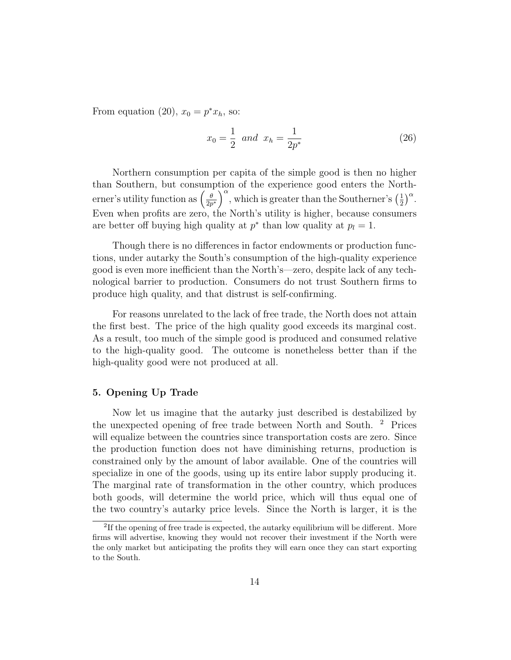From equation [\(20\)](#page-11-2),  $x_0 = p^*x_h$ , so:

$$
x_0 = \frac{1}{2} \text{ and } x_h = \frac{1}{2p^*}
$$
 (26)

Northern consumption per capita of the simple good is then no higher than Southern, but consumption of the experience good enters the Northerner's utility function as  $\left(\frac{\theta}{2n}\right)$  $\frac{\theta}{2p^*}$   $\Big)^{\alpha}$ , which is greater than the Southerner's  $\left(\frac{1}{2}\right)$  $\frac{1}{2}$ )<sup> $\alpha$ </sup>. Even when profits are zero, the North's utility is higher, because consumers are better off buying high quality at  $p^*$  than low quality at  $p_l = 1$ .

Though there is no differences in factor endowments or production functions, under autarky the South's consumption of the high-quality experience good is even more inefficient than the North's—zero, despite lack of any technological barrier to production. Consumers do not trust Southern firms to produce high quality, and that distrust is self-confirming.

For reasons unrelated to the lack of free trade, the North does not attain the first best. The price of the high quality good exceeds its marginal cost. As a result, too much of the simple good is produced and consumed relative to the high-quality good. The outcome is nonetheless better than if the high-quality good were not produced at all.

# 5. Opening Up Trade

Now let us imagine that the autarky just described is destabilized by the unexpected opening of free trade between North and South. [2](#page-13-0) Prices will equalize between the countries since transportation costs are zero. Since the production function does not have diminishing returns, production is constrained only by the amount of labor available. One of the countries will specialize in one of the goods, using up its entire labor supply producing it. The marginal rate of transformation in the other country, which produces both goods, will determine the world price, which will thus equal one of the two country's autarky price levels. Since the North is larger, it is the

<span id="page-13-0"></span><sup>&</sup>lt;sup>2</sup>If the opening of free trade is expected, the autarky equilibrium will be different. More firms will advertise, knowing they would not recover their investment if the North were the only market but anticipating the profits they will earn once they can start exporting to the South.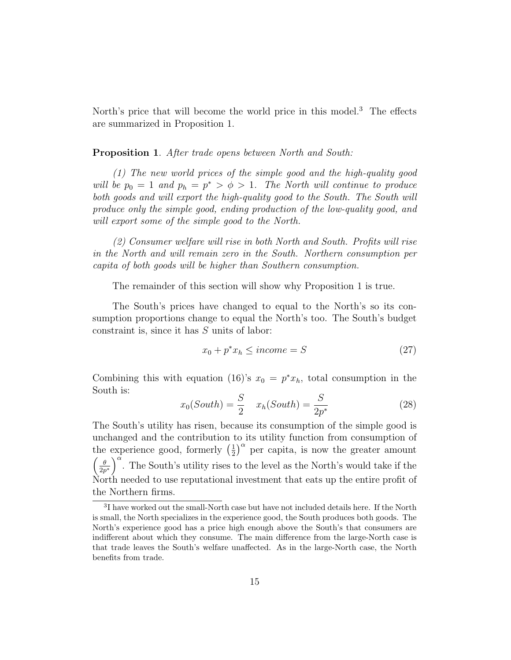North's price that will become the world price in this model.<sup>[3](#page-14-0)</sup> The effects are summarized in Proposition 1.

Proposition 1. After trade opens between North and South:

(1) The new world prices of the simple good and the high-quality good will be  $p_0 = 1$  and  $p_h = p^* > \phi > 1$ . The North will continue to produce both goods and will export the high-quality good to the South. The South will produce only the simple good, ending production of the low-quality good, and will export some of the simple good to the North.

(2) Consumer welfare will rise in both North and South. Profits will rise in the North and will remain zero in the South. Northern consumption per capita of both goods will be higher than Southern consumption.

The remainder of this section will show why Proposition 1 is true.

The South's prices have changed to equal to the North's so its consumption proportions change to equal the North's too. The South's budget constraint is, since it has S units of labor:

$$
x_0 + p^* x_h \leq income = S \tag{27}
$$

Combining this with equation [\(16\)](#page-11-1)'s  $x_0 = p^*x_h$ , total consumption in the South is:

$$
x_0(South) = \frac{S}{2} \quad x_h(South) = \frac{S}{2p^*} \tag{28}
$$

The South's utility has risen, because its consumption of the simple good is unchanged and the contribution to its utility function from consumption of the experience good, formerly  $\left(\frac{1}{2}\right)$  $\frac{1}{2}$ <sup> $\alpha$ </sup> per capita, is now the greater amount  $\int$  $\frac{\theta}{2p^*}$  The South's utility rises to the level as the North's would take if the North needed to use reputational investment that eats up the entire profit of the Northern firms.

<span id="page-14-0"></span><sup>3</sup> I have worked out the small-North case but have not included details here. If the North is small, the North specializes in the experience good, the South produces both goods. The North's experience good has a price high enough above the South's that consumers are indifferent about which they consume. The main difference from the large-North case is that trade leaves the South's welfare unaffected. As in the large-North case, the North benefits from trade.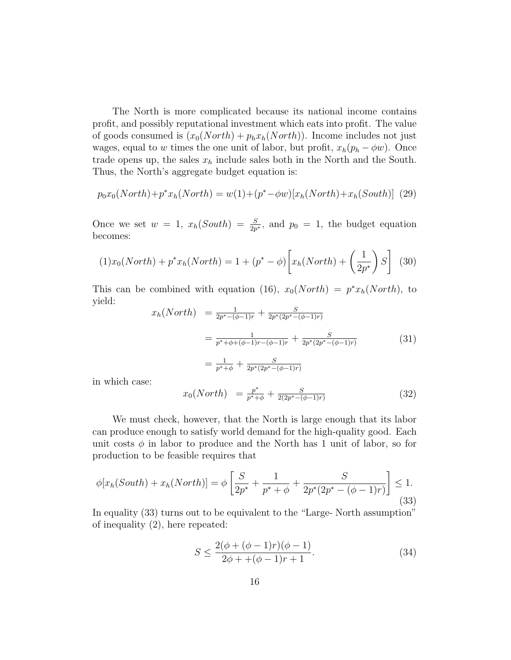The North is more complicated because its national income contains profit, and possibly reputational investment which eats into profit. The value of goods consumed is  $(x_0(North) + p_hx_h(North))$ . Income includes not just wages, equal to w times the one unit of labor, but profit,  $x_h(p_h - \phi w)$ . Once trade opens up, the sales  $x_h$  include sales both in the North and the South. Thus, the North's aggregate budget equation is:

$$
p_0x_0(North)+p^*x_h(North)=w(1)+(p^*-\phi w)[x_h(North)+x_h(South)]
$$
 (29)

Once we set  $w = 1$ ,  $x_h(South) = \frac{S}{2p^*}$ , and  $p_0 = 1$ , the budget equation becomes:

$$
(1)x_0(North) + p^*x_h(North) = 1 + (p^* - \phi)\left[x_h(North) + \left(\frac{1}{2p^*}\right)S\right]
$$
 (30)

This can be combined with equation [\(16\)](#page-11-1),  $x_0(North) = p^*x_h(North)$ , to yield:

$$
x_h(North) = \frac{1}{2p^*(-\phi-1)r} + \frac{S}{2p^*(2p^*(-\phi-1)r)}
$$
  
= 
$$
\frac{1}{p^*+\phi+(\phi-1)r-(\phi-1)r} + \frac{S}{2p^*(2p^*(-\phi-1)r)}
$$
(31)  
= 
$$
\frac{1}{p^*+\phi} + \frac{S}{2p^*(2p^*(-\phi-1)r)}
$$

in which case:

<span id="page-15-1"></span><span id="page-15-0"></span>
$$
x_0(North) = \frac{p^*}{p^* + \phi} + \frac{S}{2(2p^* - (\phi - 1)r)}\tag{32}
$$

We must check, however, that the North is large enough that its labor can produce enough to satisfy world demand for the high-quality good. Each unit costs  $\phi$  in labor to produce and the North has 1 unit of labor, so for production to be feasible requires that

$$
\phi[x_h(South) + x_h(North)] = \phi \left[ \frac{S}{2p^*} + \frac{1}{p^* + \phi} + \frac{S}{2p^*(2p^* - (\phi - 1)r)} \right] \le 1.
$$
\n(33)

In equality [\(33\)](#page-15-0) turns out to be equivalent to the "Large- North assumption" of inequality [\(2\)](#page-4-1), here repeated:

$$
S \le \frac{2(\phi + (\phi - 1)r)(\phi - 1)}{2\phi + (\phi - 1)r + 1}.
$$
\n(34)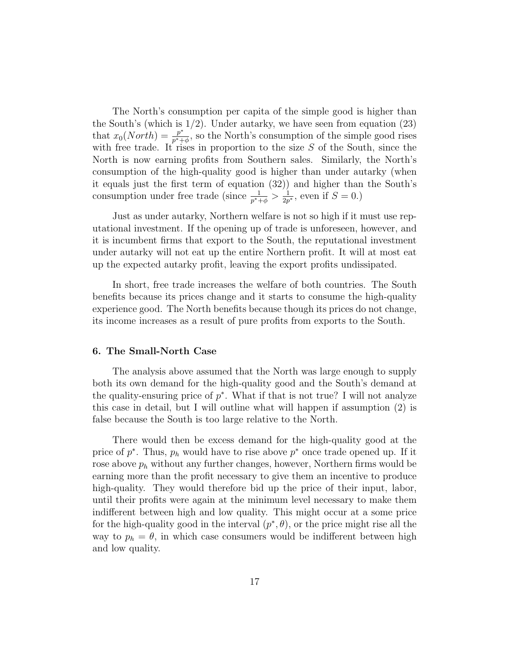The North's consumption per capita of the simple good is higher than the South's (which is  $1/2$ ). Under autarky, we have seen from equation  $(23)$ that  $x_0(North) = \frac{p^*}{p^*+1}$  $\frac{p^*}{p^*+\phi}$ , so the North's consumption of the simple good rises with free trade. It rises in proportion to the size  $S$  of the South, since the North is now earning profits from Southern sales. Similarly, the North's consumption of the high-quality good is higher than under autarky (when it equals just the first term of equation [\(32\)](#page-15-1)) and higher than the South's consumption under free trade (since  $\frac{1}{p^*+\phi} > \frac{1}{2p}$  $\frac{1}{2p^*}$ , even if  $S=0$ .)

Just as under autarky, Northern welfare is not so high if it must use reputational investment. If the opening up of trade is unforeseen, however, and it is incumbent firms that export to the South, the reputational investment under autarky will not eat up the entire Northern profit. It will at most eat up the expected autarky profit, leaving the export profits undissipated.

In short, free trade increases the welfare of both countries. The South benefits because its prices change and it starts to consume the high-quality experience good. The North benefits because though its prices do not change, its income increases as a result of pure profits from exports to the South.

#### 6. The Small-North Case

The analysis above assumed that the North was large enough to supply both its own demand for the high-quality good and the South's demand at the quality-ensuring price of  $p^*$ . What if that is not true? I will not analyze this case in detail, but I will outline what will happen if assumption [\(2\)](#page-4-1) is false because the South is too large relative to the North.

There would then be excess demand for the high-quality good at the price of  $p^*$ . Thus,  $p_h$  would have to rise above  $p^*$  once trade opened up. If it rose above  $p_h$  without any further changes, however, Northern firms would be earning more than the profit necessary to give them an incentive to produce high-quality. They would therefore bid up the price of their input, labor, until their profits were again at the minimum level necessary to make them indifferent between high and low quality. This might occur at a some price for the high-quality good in the interval  $(p^*, \theta)$ , or the price might rise all the way to  $p_h = \theta$ , in which case consumers would be indifferent between high and low quality.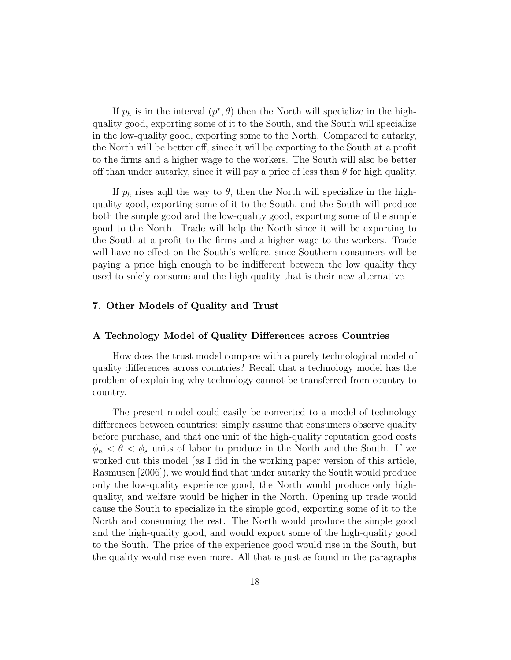If  $p_h$  is in the interval  $(p^*, \theta)$  then the North will specialize in the highquality good, exporting some of it to the South, and the South will specialize in the low-quality good, exporting some to the North. Compared to autarky, the North will be better off, since it will be exporting to the South at a profit to the firms and a higher wage to the workers. The South will also be better off than under autarky, since it will pay a price of less than  $\theta$  for high quality.

If  $p_h$  rises aqll the way to  $\theta$ , then the North will specialize in the highquality good, exporting some of it to the South, and the South will produce both the simple good and the low-quality good, exporting some of the simple good to the North. Trade will help the North since it will be exporting to the South at a profit to the firms and a higher wage to the workers. Trade will have no effect on the South's welfare, since Southern consumers will be paying a price high enough to be indifferent between the low quality they used to solely consume and the high quality that is their new alternative.

# 7. Other Models of Quality and Trust

### A Technology Model of Quality Differences across Countries

How does the trust model compare with a purely technological model of quality differences across countries? Recall that a technology model has the problem of explaining why technology cannot be transferred from country to country.

The present model could easily be converted to a model of technology differences between countries: simply assume that consumers observe quality before purchase, and that one unit of the high-quality reputation good costs  $\phi_n < \theta < \phi_s$  units of labor to produce in the North and the South. If we worked out this model (as I did in the working paper version of this article, Rasmusen [2006]), we would find that under autarky the South would produce only the low-quality experience good, the North would produce only highquality, and welfare would be higher in the North. Opening up trade would cause the South to specialize in the simple good, exporting some of it to the North and consuming the rest. The North would produce the simple good and the high-quality good, and would export some of the high-quality good to the South. The price of the experience good would rise in the South, but the quality would rise even more. All that is just as found in the paragraphs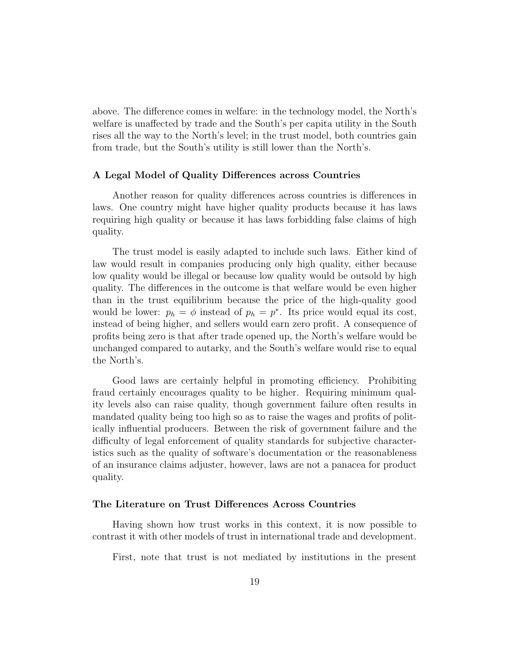above. The difference comes in welfare: in the technology model, the North's welfare is unaffected by trade and the South's per capita utility in the South rises all the way to the North's level; in the trust model, both countries gain from trade, but the South's utility is still lower than the North's.

#### A Legal Model of Quality Differences across Countries

Another reason for quality differences across countries is differences in laws. One country might have higher quality products because it has laws requiring high quality or because it has laws forbidding false claims of high quality.

The trust model is easily adapted to include such laws. Either kind of law would result in companies producing only high quality, either because low quality would be illegal or because low quality would be outsold by high quality. The differences in the outcome is that welfare would be even higher than in the trust equilibrium because the price of the high-quality good would be lower:  $p_h = \phi$  instead of  $p_h = p^*$ . Its price would equal its cost, instead of being higher, and sellers would earn zero profit. A consequence of profits being zero is that after trade opened up, the North's welfare would be unchanged compared to autarky, and the South's welfare would rise to equal the North's.

Good laws are certainly helpful in promoting efficiency. Prohibiting fraud certainly encourages quality to be higher. Requiring minimum quality levels also can raise quality, though government failure often results in mandated quality being too high so as to raise the wages and profits of politically influential producers. Between the risk of government failure and the difficulty of legal enforcement of quality standards for subjective characteristics such as the quality of software's documentation or the reasonableness of an insurance claims adjuster, however, laws are not a panacea for product quality.

# The Literature on Trust Differences Across Countries

Having shown how trust works in this context, it is now possible to contrast it with other models of trust in international trade and development.

First, note that trust is not mediated by institutions in the present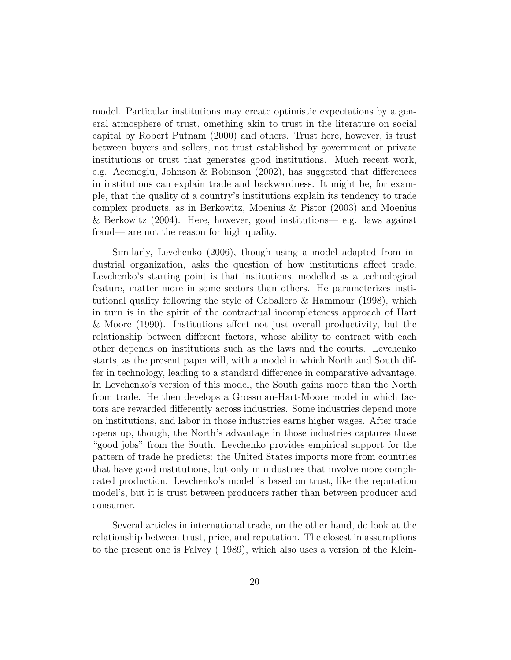model. Particular institutions may create optimistic expectations by a general atmosphere of trust, omething akin to trust in the literature on social capital by Robert Putnam (2000) and others. Trust here, however, is trust between buyers and sellers, not trust established by government or private institutions or trust that generates good institutions. Much recent work, e.g. Acemoglu, Johnson & Robinson (2002), has suggested that differences in institutions can explain trade and backwardness. It might be, for example, that the quality of a country's institutions explain its tendency to trade complex products, as in Berkowitz, Moenius & Pistor (2003) and Moenius & Berkowitz (2004). Here, however, good institutions— e.g. laws against fraud— are not the reason for high quality.

Similarly, Levchenko (2006), though using a model adapted from industrial organization, asks the question of how institutions affect trade. Levchenko's starting point is that institutions, modelled as a technological feature, matter more in some sectors than others. He parameterizes institutional quality following the style of Caballero & Hammour (1998), which in turn is in the spirit of the contractual incompleteness approach of Hart & Moore (1990). Institutions affect not just overall productivity, but the relationship between different factors, whose ability to contract with each other depends on institutions such as the laws and the courts. Levchenko starts, as the present paper will, with a model in which North and South differ in technology, leading to a standard difference in comparative advantage. In Levchenko's version of this model, the South gains more than the North from trade. He then develops a Grossman-Hart-Moore model in which factors are rewarded differently across industries. Some industries depend more on institutions, and labor in those industries earns higher wages. After trade opens up, though, the North's advantage in those industries captures those "good jobs" from the South. Levchenko provides empirical support for the pattern of trade he predicts: the United States imports more from countries that have good institutions, but only in industries that involve more complicated production. Levchenko's model is based on trust, like the reputation model's, but it is trust between producers rather than between producer and consumer.

Several articles in international trade, on the other hand, do look at the relationship between trust, price, and reputation. The closest in assumptions to the present one is Falvey ( 1989), which also uses a version of the Klein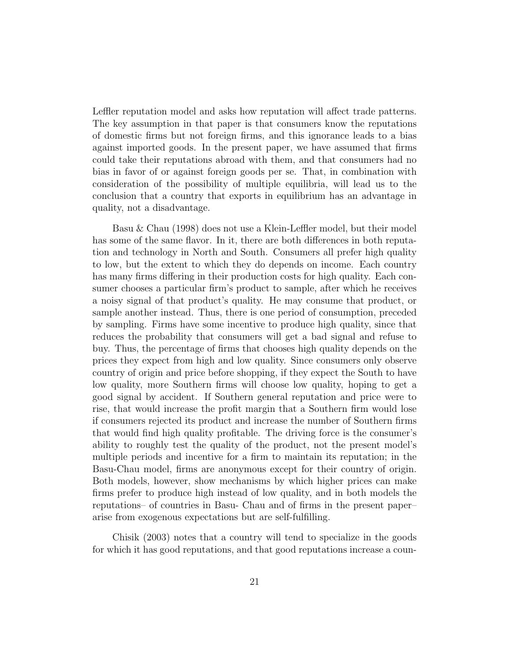Leffler reputation model and asks how reputation will affect trade patterns. The key assumption in that paper is that consumers know the reputations of domestic firms but not foreign firms, and this ignorance leads to a bias against imported goods. In the present paper, we have assumed that firms could take their reputations abroad with them, and that consumers had no bias in favor of or against foreign goods per se. That, in combination with consideration of the possibility of multiple equilibria, will lead us to the conclusion that a country that exports in equilibrium has an advantage in quality, not a disadvantage.

Basu & Chau (1998) does not use a Klein-Leffler model, but their model has some of the same flavor. In it, there are both differences in both reputation and technology in North and South. Consumers all prefer high quality to low, but the extent to which they do depends on income. Each country has many firms differing in their production costs for high quality. Each consumer chooses a particular firm's product to sample, after which he receives a noisy signal of that product's quality. He may consume that product, or sample another instead. Thus, there is one period of consumption, preceded by sampling. Firms have some incentive to produce high quality, since that reduces the probability that consumers will get a bad signal and refuse to buy. Thus, the percentage of firms that chooses high quality depends on the prices they expect from high and low quality. Since consumers only observe country of origin and price before shopping, if they expect the South to have low quality, more Southern firms will choose low quality, hoping to get a good signal by accident. If Southern general reputation and price were to rise, that would increase the profit margin that a Southern firm would lose if consumers rejected its product and increase the number of Southern firms that would find high quality profitable. The driving force is the consumer's ability to roughly test the quality of the product, not the present model's multiple periods and incentive for a firm to maintain its reputation; in the Basu-Chau model, firms are anonymous except for their country of origin. Both models, however, show mechanisms by which higher prices can make firms prefer to produce high instead of low quality, and in both models the reputations– of countries in Basu- Chau and of firms in the present paper– arise from exogenous expectations but are self-fulfilling.

Chisik (2003) notes that a country will tend to specialize in the goods for which it has good reputations, and that good reputations increase a coun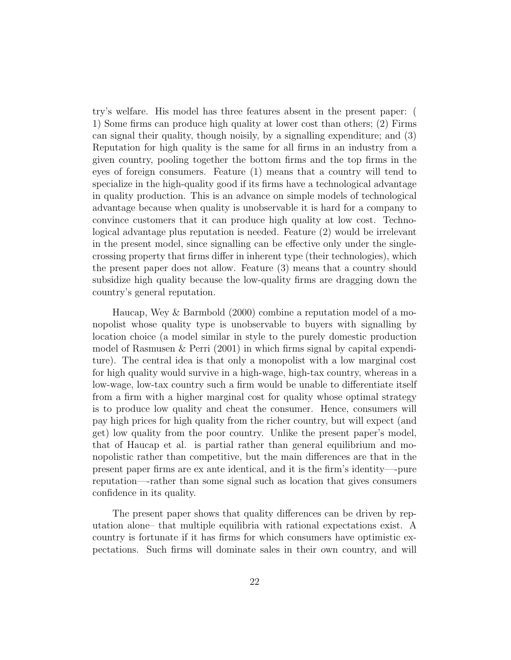try's welfare. His model has three features absent in the present paper: ( 1) Some firms can produce high quality at lower cost than others; (2) Firms can signal their quality, though noisily, by a signalling expenditure; and (3) Reputation for high quality is the same for all firms in an industry from a given country, pooling together the bottom firms and the top firms in the eyes of foreign consumers. Feature (1) means that a country will tend to specialize in the high-quality good if its firms have a technological advantage in quality production. This is an advance on simple models of technological advantage because when quality is unobservable it is hard for a company to convince customers that it can produce high quality at low cost. Technological advantage plus reputation is needed. Feature (2) would be irrelevant in the present model, since signalling can be effective only under the singlecrossing property that firms differ in inherent type (their technologies), which the present paper does not allow. Feature (3) means that a country should subsidize high quality because the low-quality firms are dragging down the country's general reputation.

Haucap, Wey & Barmbold (2000) combine a reputation model of a monopolist whose quality type is unobservable to buyers with signalling by location choice (a model similar in style to the purely domestic production model of Rasmusen & Perri  $(2001)$  in which firms signal by capital expenditure). The central idea is that only a monopolist with a low marginal cost for high quality would survive in a high-wage, high-tax country, whereas in a low-wage, low-tax country such a firm would be unable to differentiate itself from a firm with a higher marginal cost for quality whose optimal strategy is to produce low quality and cheat the consumer. Hence, consumers will pay high prices for high quality from the richer country, but will expect (and get) low quality from the poor country. Unlike the present paper's model, that of Haucap et al. is partial rather than general equilibrium and monopolistic rather than competitive, but the main differences are that in the present paper firms are ex ante identical, and it is the firm's identity—-pure reputation—-rather than some signal such as location that gives consumers confidence in its quality.

The present paper shows that quality differences can be driven by reputation alone– that multiple equilibria with rational expectations exist. A country is fortunate if it has firms for which consumers have optimistic expectations. Such firms will dominate sales in their own country, and will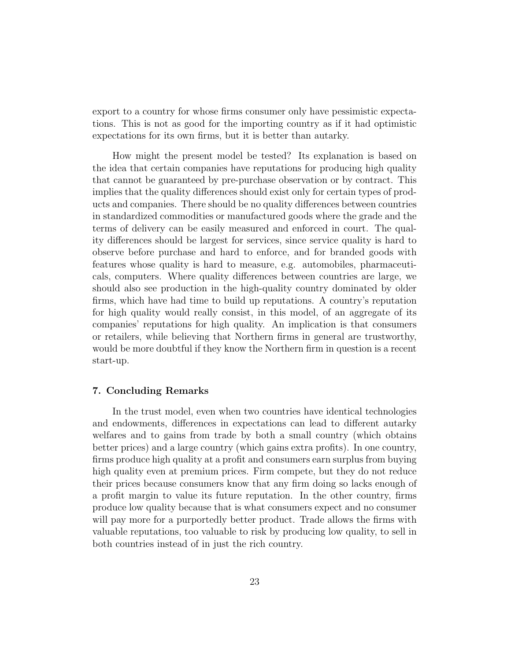export to a country for whose firms consumer only have pessimistic expectations. This is not as good for the importing country as if it had optimistic expectations for its own firms, but it is better than autarky.

How might the present model be tested? Its explanation is based on the idea that certain companies have reputations for producing high quality that cannot be guaranteed by pre-purchase observation or by contract. This implies that the quality differences should exist only for certain types of products and companies. There should be no quality differences between countries in standardized commodities or manufactured goods where the grade and the terms of delivery can be easily measured and enforced in court. The quality differences should be largest for services, since service quality is hard to observe before purchase and hard to enforce, and for branded goods with features whose quality is hard to measure, e.g. automobiles, pharmaceuticals, computers. Where quality differences between countries are large, we should also see production in the high-quality country dominated by older firms, which have had time to build up reputations. A country's reputation for high quality would really consist, in this model, of an aggregate of its companies' reputations for high quality. An implication is that consumers or retailers, while believing that Northern firms in general are trustworthy, would be more doubtful if they know the Northern firm in question is a recent start-up.

# 7. Concluding Remarks

In the trust model, even when two countries have identical technologies and endowments, differences in expectations can lead to different autarky welfares and to gains from trade by both a small country (which obtains better prices) and a large country (which gains extra profits). In one country, firms produce high quality at a profit and consumers earn surplus from buying high quality even at premium prices. Firm compete, but they do not reduce their prices because consumers know that any firm doing so lacks enough of a profit margin to value its future reputation. In the other country, firms produce low quality because that is what consumers expect and no consumer will pay more for a purportedly better product. Trade allows the firms with valuable reputations, too valuable to risk by producing low quality, to sell in both countries instead of in just the rich country.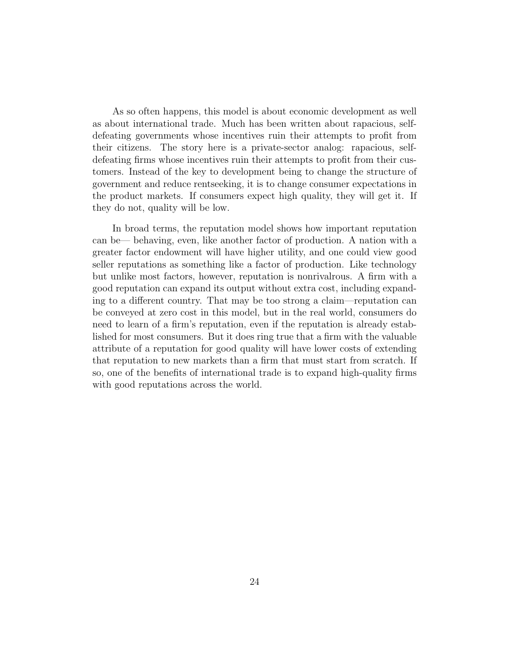As so often happens, this model is about economic development as well as about international trade. Much has been written about rapacious, selfdefeating governments whose incentives ruin their attempts to profit from their citizens. The story here is a private-sector analog: rapacious, selfdefeating firms whose incentives ruin their attempts to profit from their customers. Instead of the key to development being to change the structure of government and reduce rentseeking, it is to change consumer expectations in the product markets. If consumers expect high quality, they will get it. If they do not, quality will be low.

In broad terms, the reputation model shows how important reputation can be— behaving, even, like another factor of production. A nation with a greater factor endowment will have higher utility, and one could view good seller reputations as something like a factor of production. Like technology but unlike most factors, however, reputation is nonrivalrous. A firm with a good reputation can expand its output without extra cost, including expanding to a different country. That may be too strong a claim—reputation can be conveyed at zero cost in this model, but in the real world, consumers do need to learn of a firm's reputation, even if the reputation is already established for most consumers. But it does ring true that a firm with the valuable attribute of a reputation for good quality will have lower costs of extending that reputation to new markets than a firm that must start from scratch. If so, one of the benefits of international trade is to expand high-quality firms with good reputations across the world.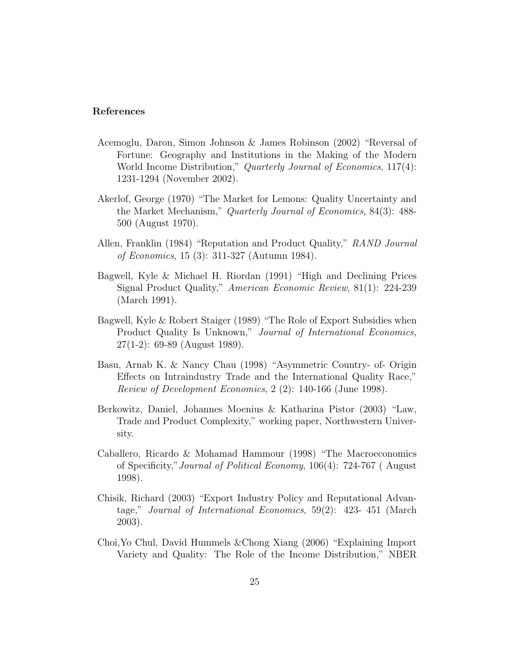## References

- Acemoglu, Daron, Simon Johnson & James Robinson (2002) "Reversal of Fortune: Geography and Institutions in the Making of the Modern World Income Distribution," Quarterly Journal of Economics, 117(4): 1231-1294 (November 2002).
- Akerlof, George (1970) "The Market for Lemons: Quality Uncertainty and the Market Mechanism," Quarterly Journal of Economics, 84(3): 488- 500 (August 1970).
- Allen, Franklin (1984) "Reputation and Product Quality," RAND Journal of Economics, 15 (3): 311-327 (Autumn 1984).
- Bagwell, Kyle & Michael H. Riordan (1991) "High and Declining Prices Signal Product Quality," American Economic Review, 81(1): 224-239 (March 1991).
- Bagwell, Kyle & Robert Staiger (1989) "The Role of Export Subsidies when Product Quality Is Unknown," Journal of International Economics, 27(1-2): 69-89 (August 1989).
- Basu, Arnab K. & Nancy Chau (1998) "Asymmetric Country- of- Origin Effects on Intraindustry Trade and the International Quality Race," Review of Development Economics, 2 (2): 140-166 (June 1998).
- Berkowitz, Daniel, Johannes Moenius & Katharina Pistor (2003) "Law, Trade and Product Complexity," working paper, Northwestern University.
- Caballero, Ricardo & Mohamad Hammour (1998) "The Macroeconomics of Specificity,"Journal of Political Economy, 106(4): 724-767 ( August 1998).
- Chisik, Richard (2003) "Export Industry Policy and Reputational Advantage," Journal of International Economics, 59(2): 423- 451 (March 2003).
- Choi,Yo Chul, David Hummels &Chong Xiang (2006) "Explaining Import Variety and Quality: The Role of the Income Distribution," NBER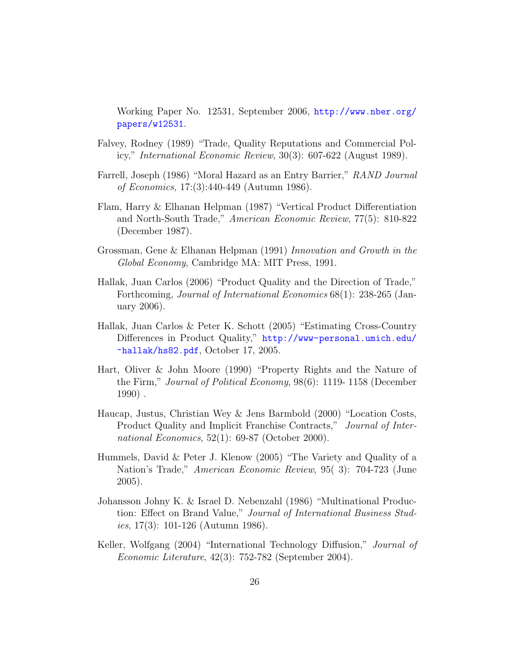Working Paper No. 12531, September 2006, [http://www.nber.org/]( http://www.nber.org/papers/w12531) [papers/w12531]( http://www.nber.org/papers/w12531).

- Falvey, Rodney (1989) "Trade, Quality Reputations and Commercial Policy," International Economic Review, 30(3): 607-622 (August 1989).
- Farrell, Joseph (1986) "Moral Hazard as an Entry Barrier," RAND Journal of Economics, 17:(3):440-449 (Autumn 1986).
- Flam, Harry & Elhanan Helpman (1987) "Vertical Product Differentiation and North-South Trade," American Economic Review, 77(5): 810-822 (December 1987).
- Grossman, Gene & Elhanan Helpman (1991) Innovation and Growth in the Global Economy, Cambridge MA: MIT Press, 1991.
- Hallak, Juan Carlos (2006) "Product Quality and the Direction of Trade," Forthcoming, Journal of International Economics 68(1): 238-265 (January 2006).
- Hallak, Juan Carlos & Peter K. Schott (2005) "Estimating Cross-Country Differences in Product Quality," [http://www-personal.umich.edu/]( http://www-personal.umich.edu/~hallak/hs82.pdf) [~hallak/hs82.pdf]( http://www-personal.umich.edu/~hallak/hs82.pdf), October 17, 2005.
- Hart, Oliver & John Moore (1990) "Property Rights and the Nature of the Firm," Journal of Political Economy, 98(6): 1119- 1158 (December 1990) .
- Haucap, Justus, Christian Wey & Jens Barmbold (2000) "Location Costs, Product Quality and Implicit Franchise Contracts," Journal of International Economics, 52(1): 69-87 (October 2000).
- Hummels, David & Peter J. Klenow (2005) "The Variety and Quality of a Nation's Trade," American Economic Review, 95( 3): 704-723 (June 2005).
- Johansson Johny K. & Israel D. Nebenzahl (1986) "Multinational Production: Effect on Brand Value," Journal of International Business Studies, 17(3): 101-126 (Autumn 1986).
- Keller, Wolfgang (2004) "International Technology Diffusion," Journal of Economic Literature, 42(3): 752-782 (September 2004).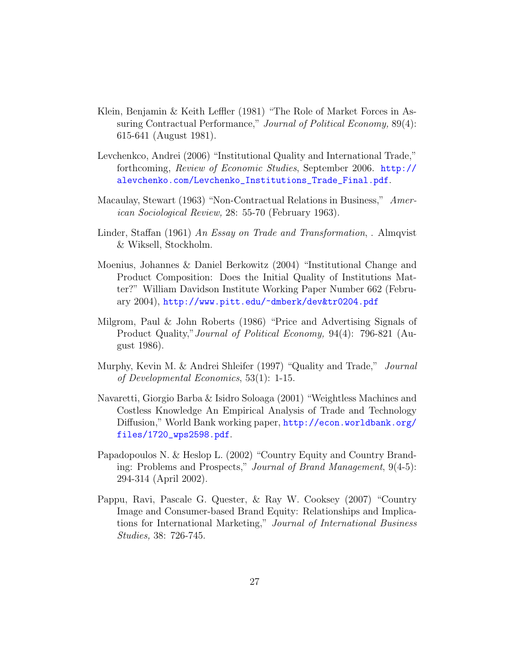- Klein, Benjamin & Keith Leffler (1981) "The Role of Market Forces in Assuring Contractual Performance," Journal of Political Economy, 89(4): 615-641 (August 1981).
- Levchenkco, Andrei (2006) "Institutional Quality and International Trade," forthcoming, Review of Economic Studies, September 2006. [http://]( http://alevchenko.com/Levchenko_Institutions_Trade_Final.pdf) [alevchenko.com/Levchenko\\_Institutions\\_Trade\\_Final.pdf]( http://alevchenko.com/Levchenko_Institutions_Trade_Final.pdf).
- Macaulay, Stewart (1963) "Non-Contractual Relations in Business," American Sociological Review, 28: 55-70 (February 1963).
- Linder, Staffan (1961) An Essay on Trade and Transformation, . Almqvist & Wiksell, Stockholm.
- Moenius, Johannes & Daniel Berkowitz (2004) "Institutional Change and Product Composition: Does the Initial Quality of Institutions Matter?" William Davidson Institute Working Paper Number 662 (February 2004), [http://www.pitt.edu/~dmberk/dev&tr0204.pdf]( http://www.pitt.edu/~dmberk/dev&tr0204.pdf)
- Milgrom, Paul & John Roberts (1986) "Price and Advertising Signals of Product Quality,"Journal of Political Economy, 94(4): 796-821 (August 1986).
- Murphy, Kevin M. & Andrei Shleifer (1997) "Quality and Trade," Journal of Developmental Economics, 53(1): 1-15.
- Navaretti, Giorgio Barba & Isidro Soloaga (2001) "Weightless Machines and Costless Knowledge An Empirical Analysis of Trade and Technology Diffusion," World Bank working paper, [http://econ.worldbank.org/]( http://econ.worldbank.org/files/1720_wps2598.pdf) [files/1720\\_wps2598.pdf]( http://econ.worldbank.org/files/1720_wps2598.pdf).
- Papadopoulos N. & Heslop L. (2002) "Country Equity and Country Branding: Problems and Prospects," Journal of Brand Management, 9(4-5): 294-314 (April 2002).
- Pappu, Ravi, Pascale G. Quester, & Ray W. Cooksey (2007) "Country Image and Consumer-based Brand Equity: Relationships and Implications for International Marketing," Journal of International Business Studies, 38: 726-745.